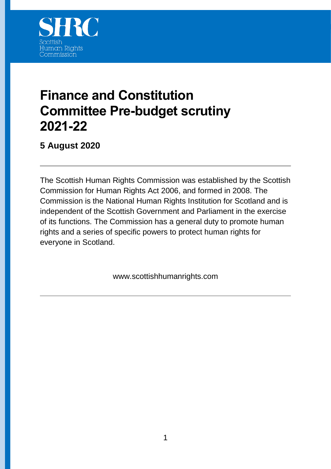

# **Finance and Constitution Committee Pre-budget scrutiny 2021-22**

**5 August 2020**

The Scottish Human Rights Commission was established by the Scottish Commission for Human Rights Act 2006, and formed in 2008. The Commission is the National Human Rights Institution for Scotland and is independent of the Scottish Government and Parliament in the exercise of its functions. The Commission has a general duty to promote human rights and a series of specific powers to protect human rights for everyone in Scotland.

www.scottishhumanrights.com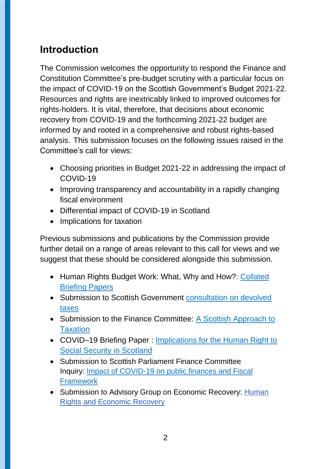# **Introduction**

The Commission welcomes the opportunity to respond the Finance and Constitution Committee's pre-budget scrutiny with a particular focus on the impact of COVID-19 on the Scottish Government's Budget 2021-22. Resources and rights are inextricably linked to improved outcomes for rights-holders. It is vital, therefore, that decisions about economic recovery from COVID-19 and the forthcoming 2021-22 budget are informed by and rooted in a comprehensive and robust rights-based analysis. This submission focuses on the following issues raised in the Committee's call for views:

- Choosing priorities in Budget 2021-22 in addressing the impact of COVID-19
- Improving transparency and accountability in a rapidly changing fiscal environment
- Differential impact of COVID-19 in Scotland
- Implications for taxation

Previous submissions and publications by the Commission provide further detail on a range of areas relevant to this call for views and we suggest that these should be considered alongside this submission.

- Human Rights Budget Work: What, Why and How?: Collated [Briefing Papers](https://www.scottishhumanrights.com/media/1902/hrbw-collected-briefing-papers-vfinal.docx)
- Submission to Scottish Government [consultation on devolved](https://www.scottishhumanrights.com/media/1882/shrc-response-to-scottish-government-consultation-on-devolved-tax-policy-framework.docx)  [taxes](https://www.scottishhumanrights.com/media/1882/shrc-response-to-scottish-government-consultation-on-devolved-tax-policy-framework.docx)
- Submission to the Finance Committee: A Scottish Approach to **[Taxation](https://www.scottishhumanrights.com/media/1697/shrc-submission-to-finance-committee-sep2016.doc)**
- COVID–19 Briefing Paper : [Implications for the Human Right to](https://www.scottishhumanrights.com/media/2065/social-security-briefing-shrc-220720.pdf)  [Social Security in Scotland](https://www.scottishhumanrights.com/media/2065/social-security-briefing-shrc-220720.pdf)
- Submission to Scottish Parliament Finance Committee Inquiry: [Impact of COVID-19 on public finances and Fiscal](https://www.scottishhumanrights.com/media/2034/20_05_fincom_covid_publicfinances_humanrights_vfinal.pdf)  **[Framework](https://www.scottishhumanrights.com/media/2034/20_05_fincom_covid_publicfinances_humanrights_vfinal.pdf)**
- Submission to Advisory Group on Economic Recovery: Human [Rights and Economic Recovery](https://www.scottishhumanrights.com/media/2035/advisory-group-on-economic-recovery-call-for-views-vonline.pdf)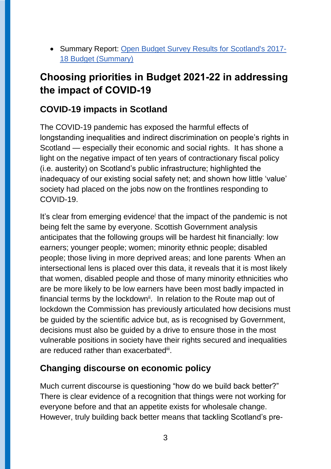Summary Report: [Open Budget Survey Results for Scotland's 2017-](https://www.scottishhumanrights.com/media/2013/scotland-2019-obi-summary-report-vfinal.pdf) [18 Budget \(Summary\)](https://www.scottishhumanrights.com/media/2013/scotland-2019-obi-summary-report-vfinal.pdf)

# **Choosing priorities in Budget 2021-22 in addressing the impact of COVID-19**

### **COVID-19 impacts in Scotland**

The COVID-19 pandemic has exposed the harmful effects of longstanding inequalities and indirect discrimination on people's rights in Scotland — especially their economic and social rights. It has shone a light on the negative impact of ten years of contractionary fiscal policy (i.e. austerity) on Scotland's public infrastructure; highlighted the inadequacy of our existing social safety net; and shown how little 'value' society had placed on the jobs now on the frontlines responding to COVID-19.

It's clear from emerging evidence<sup>i</sup> that the impact of the pandemic is not being felt the same by everyone. Scottish Government analysis anticipates that the following groups will be hardest hit financially: low earners; younger people; women; minority ethnic people; disabled people; those living in more deprived areas; and lone parents. When an intersectional lens is placed over this data, it reveals that it is most likely that women, disabled people and those of many minority ethnicities who are be more likely to be low earners have been most badly impacted in financial terms by the lockdown<sup>ii</sup>. In relation to the Route map out of lockdown the Commission has previously articulated how decisions must be guided by the scientific advice but, as is recognised by Government, decisions must also be guided by a drive to ensure those in the most vulnerable positions in society have their rights secured and inequalities are reduced rather than exacerbatedii.

### **Changing discourse on economic policy**

Much current discourse is questioning "how do we build back better?" There is clear evidence of a recognition that things were not working for everyone before and that an appetite exists for wholesale change. However, truly building back better means that tackling Scotland's pre-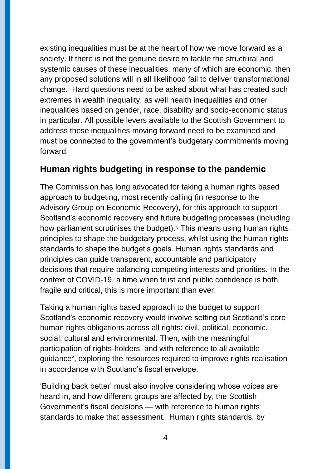existing inequalities must be at the heart of how we move forward as a society. If there is not the genuine desire to tackle the structural and systemic causes of these inequalities, many of which are economic, then any proposed solutions will in all likelihood fail to deliver transformational change. Hard questions need to be asked about what has created such extremes in wealth inequality, as well health inequalities and other inequalities based on gender, race, disability and socio-economic status in particular. All possible levers available to the Scottish Government to address these inequalities moving forward need to be examined and must be connected to the government's budgetary commitments moving forward.

#### **Human rights budgeting in response to the pandemic**

The Commission has long advocated for taking a human rights based approach to budgeting, most recently calling (in response to the Advisory Group on Economic Recovery), for this approach to support Scotland's economic recovery and future budgeting processes (including how parliament scrutinises the budget).<sup> $\alpha$ </sup> This means using human rights principles to shape the budgetary process, whilst using the human rights standards to shape the budget's goals. Human rights standards and principles can guide transparent, accountable and participatory decisions that require balancing competing interests and priorities. In the context of COVID-19, a time when trust and public confidence is both fragile and critical, this is more important than ever.

Taking a human rights based approach to the budget to support Scotland's economic recovery would involve setting out Scotland's core human rights obligations across all rights: civil, political, economic, social, cultural and environmental. Then, with the meaningful participation of rights-holders, and with reference to all available guidance<sup>v</sup>, exploring the resources required to improve rights realisation in accordance with Scotland's fiscal envelope.

'Building back better' must also involve considering whose voices are heard in, and how different groups are affected by, the Scottish Government's fiscal decisions — with reference to human rights standards to make that assessment. Human rights standards, by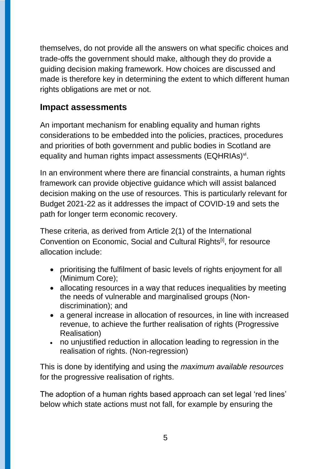themselves, do not provide all the answers on what specific choices and trade-offs the government should make, although they do provide a guiding decision making framework. How choices are discussed and made is therefore key in determining the extent to which different human rights obligations are met or not.

#### **Impact assessments**

An important mechanism for enabling equality and human rights considerations to be embedded into the policies, practices, procedures and priorities of both government and public bodies in Scotland are equality and human rights impact assessments (EQHRIAs) $\mathrm{v}$ .

In an environment where there are financial constraints, a human rights framework can provide objective guidance which will assist balanced decision making on the use of resources. This is particularly relevant for Budget 2021-22 as it addresses the impact of COVID-19 and sets the path for longer term economic recovery.

These criteria, as derived from Article 2(1) of the International Convention on Economic, Social and Cultural Rights<sup>[i]</sup>, for resource allocation include:

- prioritising the fulfilment of basic levels of rights enjoyment for all (Minimum Core);
- allocating resources in a way that reduces inequalities by meeting the needs of vulnerable and marginalised groups (Nondiscrimination); and
- a general increase in allocation of resources, in line with increased revenue, to achieve the further realisation of rights (Progressive Realisation)
- no unjustified reduction in allocation leading to regression in the realisation of rights. (Non-regression)

This is done by identifying and using the *maximum available resources* for the progressive realisation of rights.

The adoption of a human rights based approach can set legal 'red lines' below which state actions must not fall, for example by ensuring the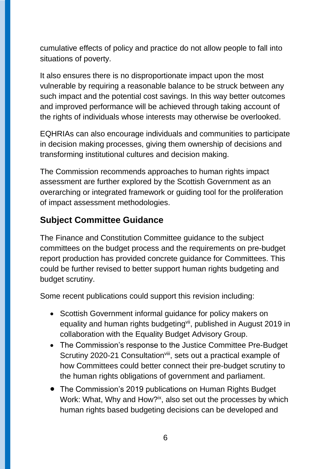cumulative effects of policy and practice do not allow people to fall into situations of poverty.

It also ensures there is no disproportionate impact upon the most vulnerable by requiring a reasonable balance to be struck between any such impact and the potential cost savings. In this way better outcomes and improved performance will be achieved through taking account of the rights of individuals whose interests may otherwise be overlooked.

EQHRIAs can also encourage individuals and communities to participate in decision making processes, giving them ownership of decisions and transforming institutional cultures and decision making.

The Commission recommends approaches to human rights impact assessment are further explored by the Scottish Government as an overarching or integrated framework or guiding tool for the proliferation of impact assessment methodologies.

#### **Subject Committee Guidance**

The Finance and Constitution Committee guidance to the subject committees on the budget process and the requirements on pre-budget report production has provided concrete guidance for Committees. This could be further revised to better support human rights budgeting and budget scrutiny.

Some recent publications could support this revision including:

- Scottish Government informal guidance for policy makers on equality and human rights budgeting<sup>vii</sup>, published in August 2019 in collaboration with the Equality Budget Advisory Group.
- The Commission's response to the Justice Committee Pre-Budget Scrutiny 2020-21 Consultation<sup>viii</sup>, sets out a practical example of how Committees could better connect their pre-budget scrutiny to the human rights obligations of government and parliament.
- The Commission's 2019 publications on Human Rights Budget Work: What, Why and How?<sup>ix</sup>, also set out the processes by which human rights based budgeting decisions can be developed and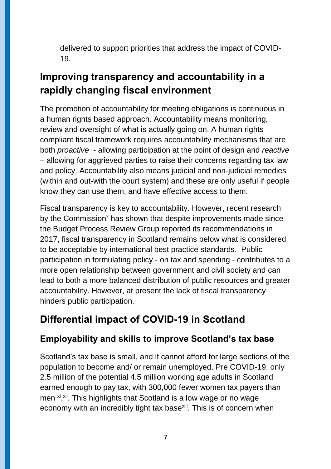delivered to support priorities that address the impact of COVID-19.

# **Improving transparency and accountability in a rapidly changing fiscal environment**

The promotion of accountability for meeting obligations is continuous in a human rights based approach. Accountability means monitoring, review and oversight of what is actually going on. A human rights compliant fiscal framework requires accountability mechanisms that are both *proactive* - allowing participation at the point of design and *reactive* – allowing for aggrieved parties to raise their concerns regarding tax law and policy. Accountability also means judicial and non-judicial remedies (within and out-with the court system) and these are only useful if people know they can use them, and have effective access to them.

Fiscal transparency is key to accountability. However, recent research by the Commission<sup>x</sup> has shown that despite improvements made since the Budget Process Review Group reported its recommendations in 2017, fiscal transparency in Scotland remains below what is considered to be acceptable by international best practice standards. Public participation in formulating policy - on tax and spending - contributes to a more open relationship between government and civil society and can lead to both a more balanced distribution of public resources and greater accountability. However, at present the lack of fiscal transparency hinders public participation.

# **Differential impact of COVID-19 in Scotland**

### **Employability and skills to improve Scotland's tax base**

Scotland's tax base is small, and it cannot afford for large sections of the population to become and/ or remain unemployed. Pre COVID-19, only 2.5 million of the potential 4.5 million working age adults in Scotland earned enough to pay tax, with 300,000 fewer women tax payers than men <sup>xi</sup>,<sup>xii</sup>. This highlights that Scotland is a low wage or no wage economy with an incredibly tight tax base<sup>xiii</sup>. This is of concern when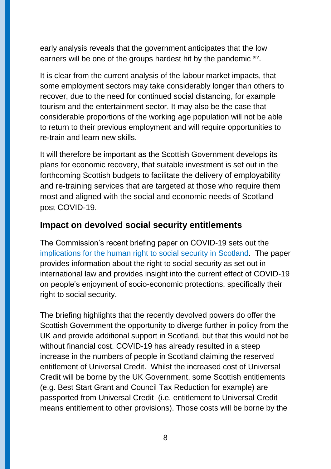early analysis reveals that the government anticipates that the low earners will be one of the groups hardest hit by the pandemic xiv.

It is clear from the current analysis of the labour market impacts, that some employment sectors may take considerably longer than others to recover, due to the need for continued social distancing, for example tourism and the entertainment sector. It may also be the case that considerable proportions of the working age population will not be able to return to their previous employment and will require opportunities to re-train and learn new skills.

It will therefore be important as the Scottish Government develops its plans for economic recovery, that suitable investment is set out in the forthcoming Scottish budgets to facilitate the delivery of employability and re-training services that are targeted at those who require them most and aligned with the social and economic needs of Scotland post COVID-19.

#### **Impact on devolved social security entitlements**

The Commission's recent briefing paper on COVID-19 sets out the [implications for the human right to social security in Scotland.](https://www.scottishhumanrights.com/media/2065/social-security-briefing-shrc-220720.pdf) The paper provides information about the right to social security as set out in international law and provides insight into the current effect of COVID-19 on people's enjoyment of socio-economic protections, specifically their right to social security.

The briefing highlights that the recently devolved powers do offer the Scottish Government the opportunity to diverge further in policy from the UK and provide additional support in Scotland, but that this would not be without financial cost. COVID-19 has already resulted in a steep increase in the numbers of people in Scotland claiming the reserved entitlement of Universal Credit. Whilst the increased cost of Universal Credit will be borne by the UK Government, some Scottish entitlements (e.g. Best Start Grant and Council Tax Reduction for example) are passported from Universal Credit (i.e. entitlement to Universal Credit means entitlement to other provisions). Those costs will be borne by the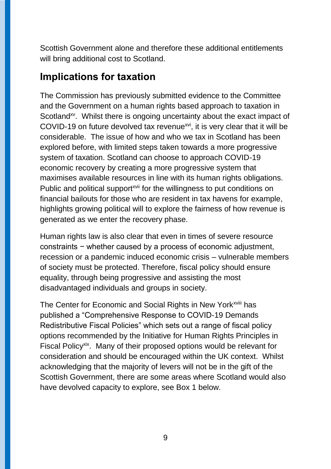Scottish Government alone and therefore these additional entitlements will bring additional cost to Scotland.

### **Implications for taxation**

The Commission has previously submitted evidence to the Committee and the Government on a human rights based approach to taxation in Scotland<sup>xv</sup>. Whilst there is ongoing uncertainty about the exact impact of COVID-19 on future devolved tax revenue<sup>xvi</sup>, it is very clear that it will be considerable. The issue of how and who we tax in Scotland has been explored before, with limited steps taken towards a more progressive system of taxation. Scotland can choose to approach COVID-19 economic recovery by creating a more progressive system that maximises available resources in line with its human rights obligations. Public and political support<sup>xvii</sup> for the willingness to put conditions on financial bailouts for those who are resident in tax havens for example, highlights growing political will to explore the fairness of how revenue is generated as we enter the recovery phase.

Human rights law is also clear that even in times of severe resource constraints − whether caused by a process of economic adjustment, recession or a pandemic induced economic crisis – vulnerable members of society must be protected. Therefore, fiscal policy should ensure equality, through being progressive and assisting the most disadvantaged individuals and groups in society.

The Center for Economic and Social Rights in New York<sup>xviii</sup> has published a "Comprehensive Response to COVID-19 Demands Redistributive Fiscal Policies" which sets out a range of fiscal policy options recommended by the Initiative for Human Rights Principles in Fiscal Policy<sup>xix</sup>. Many of their proposed options would be relevant for consideration and should be encouraged within the UK context. Whilst acknowledging that the majority of levers will not be in the gift of the Scottish Government, there are some areas where Scotland would also have devolved capacity to explore, see Box 1 below.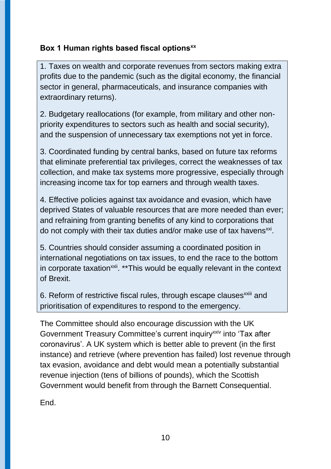#### **Box 1 Human rights based fiscal optionsxx**

1. Taxes on wealth and corporate revenues from sectors making extra profits due to the pandemic (such as the digital economy, the financial sector in general, pharmaceuticals, and insurance companies with extraordinary returns).

2. Budgetary reallocations (for example, from military and other nonpriority expenditures to sectors such as health and social security), and the suspension of unnecessary tax exemptions not yet in force.

3. Coordinated funding by central banks, based on future tax reforms that eliminate preferential tax privileges, correct the weaknesses of tax collection, and make tax systems more progressive, especially through increasing income tax for top earners and through wealth taxes.

4. Effective policies against tax avoidance and evasion, which have deprived States of valuable resources that are more needed than ever; and refraining from granting benefits of any kind to corporations that do not comply with their tax duties and/or make use of tax havens<sup>xxi</sup>.

5. Countries should consider assuming a coordinated position in international negotiations on tax issues, to end the race to the bottom in corporate taxation<sup>xxii</sup>. \*\*This would be equally relevant in the context of Brexit.

6. Reform of restrictive fiscal rules, through escape clauses<sup>xxiii</sup> and prioritisation of expenditures to respond to the emergency.

The Committee should also encourage discussion with the UK Government Treasury Committee's current inquiry<sup>xxiv</sup> into 'Tax after coronavirus'. A UK system which is better able to prevent (in the first instance) and retrieve (where prevention has failed) lost revenue through tax evasion, avoidance and debt would mean a potentially substantial revenue injection (tens of billions of pounds), which the Scottish Government would benefit from through the Barnett Consequential.

**End.**